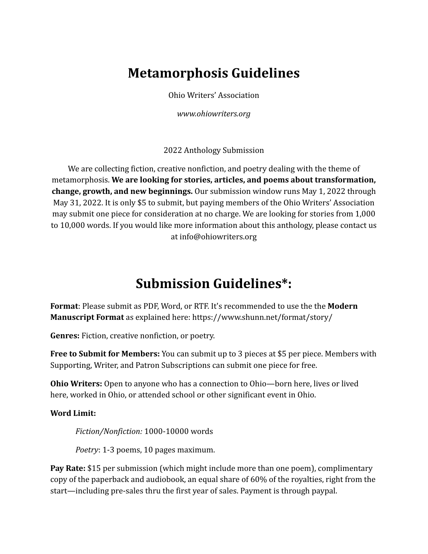## **Metamorphosis Guidelines**

Ohio Writers' Association

*www.ohiowriters.org*

2022 Anthology Submission

We are collecting fiction, creative nonfiction, and poetry dealing with the theme of metamorphosis. **We are looking for stories, articles, and poems about transformation, change, growth, and new beginnings.** Our submission window runs May 1, 2022 through May 31, 2022. It is only \$5 to submit, but paying members of the Ohio Writers' Association may submit one piece for consideration at no charge. We are looking for stories from 1,000 to 10,000 words. If you would like more information about this anthology, please contact us at info@ohiowriters.org

## **Submission Guidelines\*:**

**Format**: Please submit as PDF, Word, or RTF. It's recommended to use the the **Modern Manuscript Format** as explained here: https://www.shunn.net/format/story/

**Genres:** Fiction, creative nonfiction, or poetry.

**Free to Submit for Members:** You can submit up to 3 pieces at \$5 per piece. Members with Supporting, Writer, and Patron Subscriptions can submit one piece for free.

**Ohio Writers:** Open to anyone who has a connection to Ohio—born here, lives or lived here, worked in Ohio, or attended school or other significant event in Ohio.

**Word Limit:**

*Fiction/Nonfiction:* 1000-10000 words

*Poetry*: 1-3 poems, 10 pages maximum.

**Pay Rate:** \$15 per submission (which might include more than one poem), complimentary copy of the paperback and audiobook, an equal share of 60% of the royalties, right from the start—including pre-sales thru the first year of sales. Payment is through paypal.